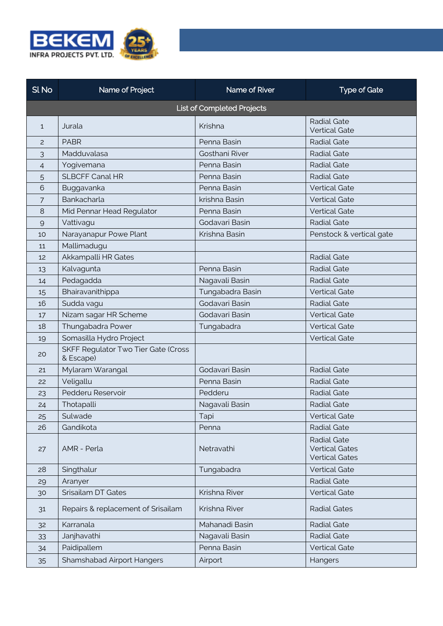

| SI <sub>No</sub>                  | Name of Project                                         | Name of River         | <b>Type of Gate</b>                                                  |  |  |  |
|-----------------------------------|---------------------------------------------------------|-----------------------|----------------------------------------------------------------------|--|--|--|
| <b>List of Completed Projects</b> |                                                         |                       |                                                                      |  |  |  |
| $\mathbf{1}$                      | Jurala                                                  | Krishna               | <b>Radial Gate</b><br><b>Vertical Gate</b>                           |  |  |  |
| $\overline{2}$                    | <b>PABR</b>                                             | Penna Basin           | <b>Radial Gate</b>                                                   |  |  |  |
| 3                                 | Madduvalasa                                             | <b>Gosthani River</b> | <b>Radial Gate</b>                                                   |  |  |  |
| 4                                 | Yogivemana                                              | Penna Basin           | <b>Radial Gate</b>                                                   |  |  |  |
| 5                                 | <b>SLBCFF Canal HR</b>                                  | Penna Basin           | <b>Radial Gate</b>                                                   |  |  |  |
| 6                                 | Buggavanka                                              | Penna Basin           | <b>Vertical Gate</b>                                                 |  |  |  |
| 7                                 | Bankacharla                                             | krishna Basin         | <b>Vertical Gate</b>                                                 |  |  |  |
| 8                                 | Mid Pennar Head Regulator                               | Penna Basin           | <b>Vertical Gate</b>                                                 |  |  |  |
| $\mathsf{Q}$                      | Vattivagu                                               | Godavari Basin        | <b>Radial Gate</b>                                                   |  |  |  |
| 10                                | Narayanapur Powe Plant                                  | Krishna Basin         | Penstock & vertical gate                                             |  |  |  |
| 11                                | Mallimadugu                                             |                       |                                                                      |  |  |  |
| 12                                | Akkampalli HR Gates                                     |                       | <b>Radial Gate</b>                                                   |  |  |  |
| 13                                | Kalvagunta                                              | Penna Basin           | <b>Radial Gate</b>                                                   |  |  |  |
| 14                                | Pedagadda                                               | Nagavali Basin        | <b>Radial Gate</b>                                                   |  |  |  |
| 15                                | Bhairavanithippa                                        | Tungabadra Basin      | <b>Vertical Gate</b>                                                 |  |  |  |
| 16                                | Sudda vagu                                              | Godavari Basin        | <b>Radial Gate</b>                                                   |  |  |  |
| 17                                | Nizam sagar HR Scheme                                   | Godavari Basin        | <b>Vertical Gate</b>                                                 |  |  |  |
| 18                                | Thungabadra Power                                       | Tungabadra            | <b>Vertical Gate</b>                                                 |  |  |  |
| 19                                | Somasilla Hydro Project                                 |                       | <b>Vertical Gate</b>                                                 |  |  |  |
| 20                                | <b>SKFF Regulator Two Tier Gate (Cross</b><br>& Escape) |                       |                                                                      |  |  |  |
| 21                                | Mylaram Warangal                                        | Godavari Basin        | <b>Radial Gate</b>                                                   |  |  |  |
| 22                                | Veligallu                                               | Penna Basin           | <b>Radial Gate</b>                                                   |  |  |  |
| 23                                | Pedderu Reservoir                                       | Pedderu               | <b>Radial Gate</b>                                                   |  |  |  |
| 24                                | Thotapalli                                              | Nagavali Basin        | <b>Radial Gate</b>                                                   |  |  |  |
| 25                                | Sulwade                                                 | Tapi                  | <b>Vertical Gate</b>                                                 |  |  |  |
| 26                                | Gandikota                                               | Penna                 | <b>Radial Gate</b>                                                   |  |  |  |
| 27                                | AMR - Perla                                             | Netravathi            | <b>Radial Gate</b><br><b>Vertical Gates</b><br><b>Vertical Gates</b> |  |  |  |
| 28                                | Singthalur                                              | Tungabadra            | <b>Vertical Gate</b>                                                 |  |  |  |
| 29                                | Aranyer                                                 |                       | <b>Radial Gate</b>                                                   |  |  |  |
| 30                                | Srisailam DT Gates                                      | Krishna River         | <b>Vertical Gate</b>                                                 |  |  |  |
| 31                                | Repairs & replacement of Srisailam                      | Krishna River         | <b>Radial Gates</b>                                                  |  |  |  |
| 32                                | Karranala                                               | Mahanadi Basin        | <b>Radial Gate</b>                                                   |  |  |  |
| 33                                | Janjhavathi                                             | Nagavali Basin        | <b>Radial Gate</b>                                                   |  |  |  |
| 34                                | Paidipallem                                             | Penna Basin           | <b>Vertical Gate</b>                                                 |  |  |  |
| 35                                | Shamshabad Airport Hangers                              | Airport               | Hangers                                                              |  |  |  |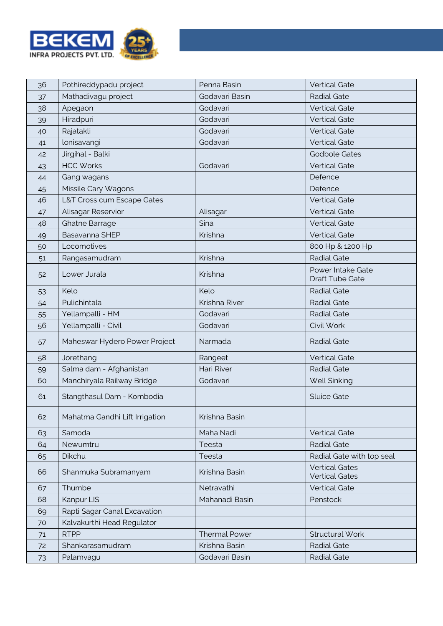

| 36 | Pothireddypadu project         | Penna Basin          | <b>Vertical Gate</b>                           |
|----|--------------------------------|----------------------|------------------------------------------------|
| 37 | Mathadivagu project            | Godavari Basin       | <b>Radial Gate</b>                             |
| 38 | Apegaon                        | Godavari             | <b>Vertical Gate</b>                           |
| 39 | Hiradpuri                      | Godavari             | <b>Vertical Gate</b>                           |
| 40 | Rajatakli                      | Godavari             | <b>Vertical Gate</b>                           |
| 41 | lonisavangi                    | Godavari             | <b>Vertical Gate</b>                           |
| 42 | Jirgihal - Balki               |                      | <b>Godbole Gates</b>                           |
| 43 | <b>HCC Works</b>               | Godavari             | <b>Vertical Gate</b>                           |
| 44 | Gang wagans                    |                      | Defence                                        |
| 45 | Missile Cary Wagons            |                      | Defence                                        |
| 46 | L&T Cross cum Escape Gates     |                      | <b>Vertical Gate</b>                           |
| 47 | Alisagar Reservior             | Alisagar             | <b>Vertical Gate</b>                           |
| 48 | Ghatne Barrage                 | Sina                 | <b>Vertical Gate</b>                           |
| 49 | Basavanna SHEP                 | Krishna              | <b>Vertical Gate</b>                           |
| 50 | Locomotives                    |                      | 800 Hp & 1200 Hp                               |
| 51 | Rangasamudram                  | Krishna              | <b>Radial Gate</b>                             |
| 52 | Lower Jurala                   | Krishna              | Power Intake Gate<br>Draft Tube Gate           |
| 53 | Kelo                           | Kelo                 | <b>Radial Gate</b>                             |
| 54 | Pulichintala                   | Krishna River        | <b>Radial Gate</b>                             |
| 55 | Yellampalli - HM               | Godavari             | <b>Radial Gate</b>                             |
| 56 | Yellampalli - Civil            | Godavari             | Civil Work                                     |
| 57 | Maheswar Hydero Power Project  | Narmada              | <b>Radial Gate</b>                             |
| 58 | Jorethang                      | Rangeet              | <b>Vertical Gate</b>                           |
| 59 | Salma dam - Afghanistan        | Hari River           | <b>Radial Gate</b>                             |
| 60 | Manchiryala Railway Bridge     | Godavari             | Well Sinking                                   |
| 61 | Stangthasul Dam - Kombodia     |                      | <b>Sluice Gate</b>                             |
| 62 | Mahatma Gandhi Lift Irrigation | Krishna Basin        |                                                |
| 63 | Samoda                         | Maha Nadi            | <b>Vertical Gate</b>                           |
| 64 | Newumtru                       | Teesta               | <b>Radial Gate</b>                             |
| 65 | Dikchu                         | Teesta               | Radial Gate with top seal                      |
| 66 | Shanmuka Subramanyam           | Krishna Basin        | <b>Vertical Gates</b><br><b>Vertical Gates</b> |
| 67 | Thumbe                         | Netravathi           | <b>Vertical Gate</b>                           |
| 68 | Kanpur LIS                     | Mahanadi Basin       | Penstock                                       |
| 69 | Rapti Sagar Canal Excavation   |                      |                                                |
| 70 | Kalvakurthi Head Regulator     |                      |                                                |
| 71 | <b>RTPP</b>                    | <b>Thermal Power</b> | Structural Work                                |
| 72 | Shankarasamudram               | Krishna Basin        | <b>Radial Gate</b>                             |
| 73 | Palamvagu                      | Godavari Basin       | <b>Radial Gate</b>                             |